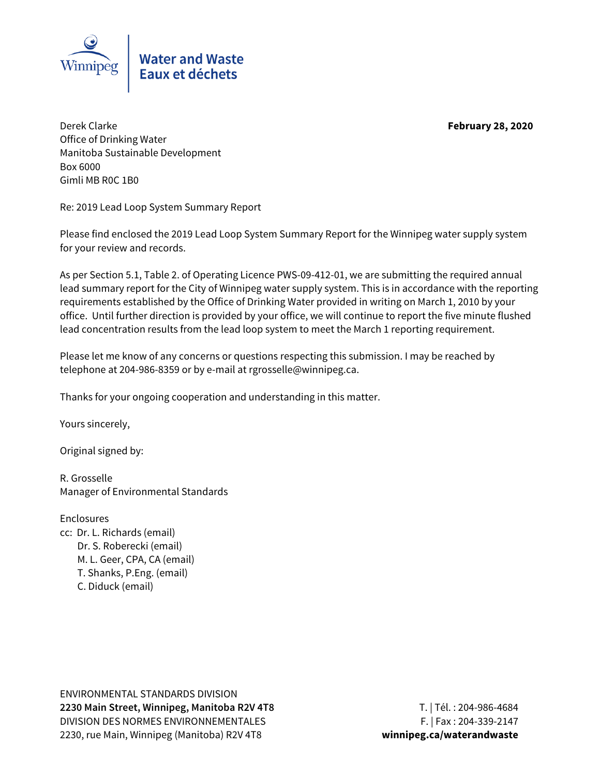

Derek Clarke **February 28, 2020** Office of Drinking Water Manitoba Sustainable Development Box 6000 Gimli MB R0C 1B0

Re: 2019 Lead Loop System Summary Report

Please find enclosed the 2019 Lead Loop System Summary Report for the Winnipeg water supply system for your review and records.

As per Section 5.1, Table 2. of Operating Licence PWS-09-412-01, we are submitting the required annual lead summary report for the City of Winnipeg water supply system. This is in accordance with the reporting requirements established by the Office of Drinking Water provided in writing on March 1, 2010 by your office. Until further direction is provided by your office, we will continue to report the five minute flushed lead concentration results from the lead loop system to meet the March 1 reporting requirement.

Please let me know of any concerns or questions respecting this submission. I may be reached by telephone at 204-986-8359 or by e-mail at rgrosselle@winnipeg.ca.

Thanks for your ongoing cooperation and understanding in this matter.

Yours sincerely,

Original signed by:

R. Grosselle Manager of Environmental Standards

**Enclosures** cc: Dr. L. Richards (email) Dr. S. Roberecki (email) M. L. Geer, CPA, CA (email) T. Shanks, P.Eng. (email) C. Diduck (email)

ENVIRONMENTAL STANDARDS DIVISION **2230 Main Street, Winnipeg, Manitoba R2V 4T8** T. | Tél. : 204-986-4684 DIVISION DES NORMES ENVIRONNEMENTALES F. | Fax: 204-339-2147 2230, rue Main, Winnipeg (Manitoba) R2V 4T8 **winnipeg.ca/waterandwaste**